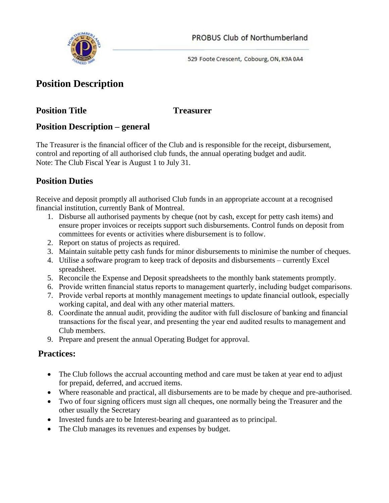

529 Foote Crescent, Cobourg, ON, K9A 0A4

# **Position Description**

## **Position Title Treasurer**

## **Position Description – general**

The Treasurer is the financial officer of the Club and is responsible for the receipt, disbursement, control and reporting of all authorised club funds, the annual operating budget and audit. Note: The Club Fiscal Year is August 1 to July 31.

## **Position Duties**

Receive and deposit promptly all authorised Club funds in an appropriate account at a recognised financial institution, currently Bank of Montreal.

- 1. Disburse all authorised payments by cheque (not by cash, except for petty cash items) and ensure proper invoices or receipts support such disbursements. Control funds on deposit from committees for events or activities where disbursement is to follow.
- 2. Report on status of projects as required.
- 3. Maintain suitable petty cash funds for minor disbursements to minimise the number of cheques.
- 4. Utilise a software program to keep track of deposits and disbursements currently Excel spreadsheet.
- 5. Reconcile the Expense and Deposit spreadsheets to the monthly bank statements promptly.
- 6. Provide written financial status reports to management quarterly, including budget comparisons.
- 7. Provide verbal reports at monthly management meetings to update financial outlook, especially working capital, and deal with any other material matters.
- 8. Coordinate the annual audit, providing the auditor with full disclosure of banking and financial transactions for the fiscal year, and presenting the year end audited results to management and Club members.
- 9. Prepare and present the annual Operating Budget for approval.

## **Practices:**

- The Club follows the accrual accounting method and care must be taken at year end to adjust for prepaid, deferred, and accrued items.
- Where reasonable and practical, all disbursements are to be made by cheque and pre-authorised.
- Two of four signing officers must sign all cheques, one normally being the Treasurer and the other usually the Secretary
- Invested funds are to be Interest-bearing and guaranteed as to principal.
- The Club manages its revenues and expenses by budget.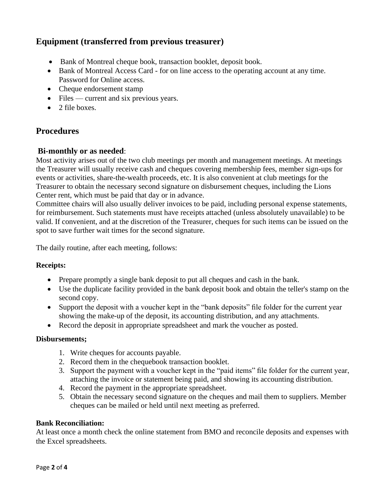## **Equipment (transferred from previous treasurer)**

- Bank of Montreal cheque book, transaction booklet, deposit book.
- Bank of Montreal Access Card for on line access to the operating account at any time. Password for Online access.
- Cheque endorsement stamp
- Files current and six previous years.
- 2 file boxes.

### **Procedures**

#### **Bi-monthly or as needed**:

Most activity arises out of the two club meetings per month and management meetings. At meetings the Treasurer will usually receive cash and cheques covering membership fees, member sign-ups for events or activities, share-the-wealth proceeds, etc. It is also convenient at club meetings for the Treasurer to obtain the necessary second signature on disbursement cheques, including the Lions Center rent, which must be paid that day or in advance.

Committee chairs will also usually deliver invoices to be paid, including personal expense statements, for reimbursement. Such statements must have receipts attached (unless absolutely unavailable) to be valid. If convenient, and at the discretion of the Treasurer, cheques for such items can be issued on the spot to save further wait times for the second signature.

The daily routine, after each meeting, follows:

#### **Receipts:**

- Prepare promptly a single bank deposit to put all cheques and cash in the bank.
- Use the duplicate facility provided in the bank deposit book and obtain the teller's stamp on the second copy.
- Support the deposit with a voucher kept in the "bank deposits" file folder for the current year showing the make-up of the deposit, its accounting distribution, and any attachments.
- Record the deposit in appropriate spreadsheet and mark the voucher as posted.

#### **Disbursements;**

- 1. Write cheques for accounts payable.
- 2. Record them in the chequebook transaction booklet.
- 3. Support the payment with a voucher kept in the "paid items" file folder for the current year, attaching the invoice or statement being paid, and showing its accounting distribution.
- 4. Record the payment in the appropriate spreadsheet.
- 5. Obtain the necessary second signature on the cheques and mail them to suppliers. Member cheques can be mailed or held until next meeting as preferred.

#### **Bank Reconciliation:**

At least once a month check the online statement from BMO and reconcile deposits and expenses with the Excel spreadsheets.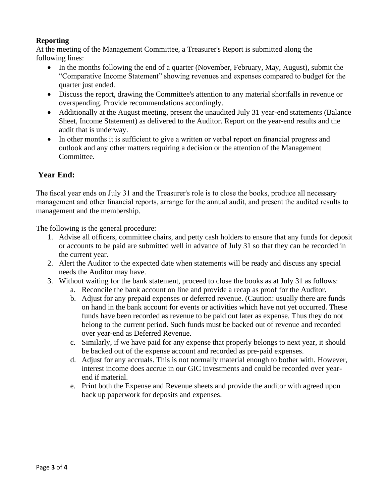#### **Reporting**

At the meeting of the Management Committee, a Treasurer's Report is submitted along the following lines:

- In the months following the end of a quarter (November, February, May, August), submit the "Comparative Income Statement" showing revenues and expenses compared to budget for the quarter just ended.
- Discuss the report, drawing the Committee's attention to any material shortfalls in revenue or overspending. Provide recommendations accordingly.
- Additionally at the August meeting, present the unaudited July 31 year-end statements (Balance Sheet, Income Statement) as delivered to the Auditor. Report on the year-end results and the audit that is underway.
- In other months it is sufficient to give a written or verbal report on financial progress and outlook and any other matters requiring a decision or the attention of the Management Committee.

### **Year End:**

The fiscal year ends on July 31 and the Treasurer's role is to close the books, produce all necessary management and other financial reports, arrange for the annual audit, and present the audited results to management and the membership.

The following is the general procedure:

- 1. Advise all officers, committee chairs, and petty cash holders to ensure that any funds for deposit or accounts to be paid are submitted well in advance of July 31 so that they can be recorded in the current year.
- 2. Alert the Auditor to the expected date when statements will be ready and discuss any special needs the Auditor may have.
- 3. Without waiting for the bank statement, proceed to close the books as at July 31 as follows:
	- a. Reconcile the bank account on line and provide a recap as proof for the Auditor.
	- b. Adjust for any prepaid expenses or deferred revenue. (Caution: usually there are funds on hand in the bank account for events or activities which have not yet occurred. These funds have been recorded as revenue to be paid out later as expense. Thus they do not belong to the current period. Such funds must be backed out of revenue and recorded over year-end as Deferred Revenue.
	- c. Similarly, if we have paid for any expense that properly belongs to next year, it should be backed out of the expense account and recorded as pre-paid expenses.
	- d. Adjust for any accruals. This is not normally material enough to bother with. However, interest income does accrue in our GIC investments and could be recorded over yearend if material.
	- e. Print both the Expense and Revenue sheets and provide the auditor with agreed upon back up paperwork for deposits and expenses.